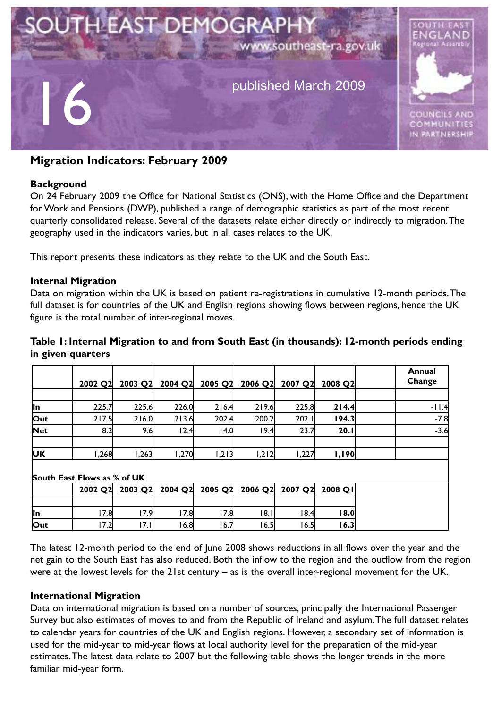

# **Migration Indicators: February 2009**

#### **Background**

On 24 February 2009 the Office for National Statistics (ONS), with the Home Office and the Department for Work and Pensions (DWP), published a range of demographic statistics as part of the most recent quarterly consolidated release. Several of the datasets relate either directly or indirectly to migration.The geography used in the indicators varies, but in all cases relates to the UK.

This report presents these indicators as they relate to the UK and the South East.

#### **Internal Migration**

Data on migration within the UK is based on patient re-registrations in cumulative 12-month periods.The full dataset is for countries of the UK and English regions showing flows between regions, hence the UK figure is the total number of inter-regional moves.

#### **Table 1: Internal Migration to and from South East (in thousands): 12-month periods ending in given quarters**

|            | 2002 Q2                     | 2003 Q2 |       | 2004 Q2 2005 Q2 | 2006 Q2 | 2007 Q2 | 2008 Q2   | Annual<br>Change |  |  |  |
|------------|-----------------------------|---------|-------|-----------------|---------|---------|-----------|------------------|--|--|--|
|            |                             |         |       |                 |         |         |           |                  |  |  |  |
| <b>In</b>  | 225.7                       | 225.6   | 226.0 | 216.4           | 219.6   | 225.8   | 214.4     | $-11.4$          |  |  |  |
| Out        | 217.5                       | 216.0   | 213.6 | 202.4           | 200.2   | 202.1   | 94.3      | $-7.8$           |  |  |  |
| <b>Net</b> | 8.2                         | 9.6     | 12.4  | 14.0            | 19.4    | 23.7    | 20.1      | $-3.6$           |  |  |  |
| <b>UK</b>  | <b>268,</b>                 | 1,263   | 1,270 | 1,213           | 1,212   | 1,227   | 1,190     |                  |  |  |  |
|            | South East Flows as % of UK |         |       |                 |         |         |           |                  |  |  |  |
|            | 2002 Q2                     | 2003 Q2 |       | 2004 Q2 2005 Q2 | 2006 Q2 | 2007 Q2 | $2008$ QI |                  |  |  |  |

|            |                       |          | 2002 Q2  2003 Q2  2004 Q2  2003 Q2  2006 Q2  2007 Q2  2006 Q1 |      |       |       |        |
|------------|-----------------------|----------|---------------------------------------------------------------|------|-------|-------|--------|
|            |                       |          |                                                               |      |       |       |        |
| lln        | <u> 7 OI</u><br>ا0. / | 7 O      | 7.8                                                           | 7.8I | 18.I  | ।8.4l | l 8.0  |
| <b>Out</b> | $-7.21$<br>7.ZI       | $\cdots$ | . 6.81                                                        | 0.1  | 16.51 | 6.5   | l 6.3l |

The latest 12-month period to the end of June 2008 shows reductions in all flows over the year and the net gain to the South East has also reduced. Both the inflow to the region and the outflow from the region were at the lowest levels for the 21st century – as is the overall inter-regional movement for the UK.

#### **International Migration**

Data on international migration is based on a number of sources, principally the International Passenger Survey but also estimates of moves to and from the Republic of Ireland and asylum.The full dataset relates to calendar years for countries of the UK and English regions. However, a secondary set of information is used for the mid-year to mid-year flows at local authority level for the preparation of the mid-year estimates.The latest data relate to 2007 but the following table shows the longer trends in the more familiar mid-year form.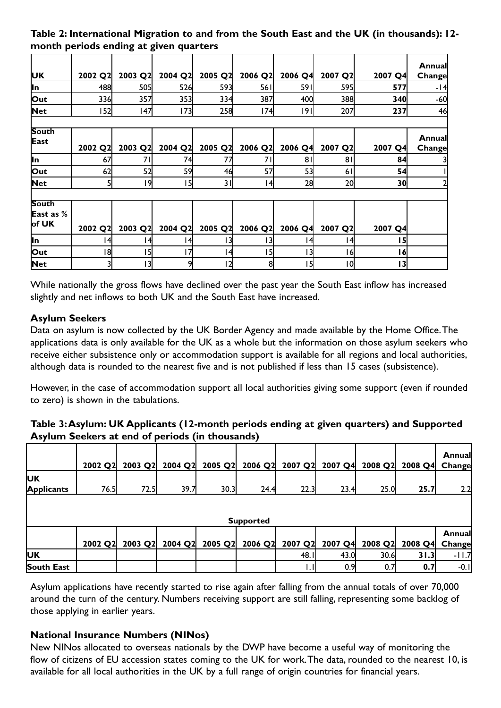## **Table 2: International Migration to and from the South East and the UK (in thousands): 12 month periods ending at given quarters**

|                           |         |         |         |         |         |         |         |                 | Annual         |
|---------------------------|---------|---------|---------|---------|---------|---------|---------|-----------------|----------------|
| UΚ                        | 2002 Q2 | 2003 Q2 | 2004 Q2 | 2005 Q2 | 2006 Q2 | 2006 Q4 | 2007 Q2 | 2007 Q4         | Change         |
| ln                        | 488     | 505     | 526     | 593     | 561     | 59 I    | 595     | 577             | -14            |
| Out                       | 336     | 357     | 353     | 334     | 387     | 400     | 388     | 340             | $-60$          |
| <b>Net</b>                | 152     | 147     | 173     | 258     | 74      | 191     | 207     | 237             | 46             |
|                           |         |         |         |         |         |         |         |                 |                |
| <b>South</b>              |         |         |         |         |         |         |         |                 | <b>Annuall</b> |
| East                      | 2002 Q2 | 2003 Q2 | 2004 Q2 | 2005 Q2 | 2006 Q2 | 2006 Q4 | 2007 Q2 | 2007 Q4         | Change         |
| ln.                       | 67      | 71      | 74      | 77      | 71      | 81      | 81      | 84              |                |
| Out                       | 62      | 52      | 59      | 46      | 57      | 53      | 61      | 54              |                |
| <b>Net</b>                | 51      | ا9      | 5       | 31      | 14      | 28      | 20      | 30              |                |
|                           |         |         |         |         |         |         |         |                 |                |
| <b>South</b><br>East as % |         |         |         |         |         |         |         |                 |                |
| of UK                     | 2002 Q2 | 2003 Q2 | 2004 Q2 | 2005 Q2 | 2006 Q2 | 2006 Q4 | 2007 Q2 | 2007 Q4         |                |
| ∥n                        | 14      | (4)     | 14      | 131     | 13      | 141     | 141     | 15              |                |
| Out                       | ا8      | l 51    | 17      | 14      | 15      | 13      | 161     | $\overline{16}$ |                |
| <b>Net</b>                | 31      | ∣3I     | 9       | ا 2     | 8       | 15      | 10      | 13              |                |

While nationally the gross flows have declined over the past year the South East inflow has increased slightly and net inflows to both UK and the South East have increased.

# **Asylum Seekers**

Data on asylum is now collected by the UK Border Agency and made available by the Home Office.The applications data is only available for the UK as a whole but the information on those asylum seekers who receive either subsistence only or accommodation support is available for all regions and local authorities, although data is rounded to the nearest five and is not published if less than 15 cases (subsistence).

However, in the case of accommodation support all local authorities giving some support (even if rounded to zero) is shown in the tabulations.

### **Table 3:Asylum: UK Applicants (12-month periods ending at given quarters) and Supported Asylum Seekers at end of periods (in thousands)**

|                   | 2002 Q2 | 2003 Q2 |      |      | 2004 Q2 2005 Q2 2006 Q2 2007 Q2 2007 Q4 |         |         | 2008 Q2 | 2008 Q4 Change | Annual         |
|-------------------|---------|---------|------|------|-----------------------------------------|---------|---------|---------|----------------|----------------|
| <b>UK</b>         |         |         |      |      |                                         |         |         |         |                |                |
| <b>Applicants</b> | 76.5    | 72.5    | 39.7 | 30.3 | 24.4                                    | 22.3    | 23.4    | 25.0    | 25.7           | 2.2            |
|                   |         |         |      |      | <b>Supported</b>                        |         |         |         |                |                |
|                   |         |         |      |      |                                         |         |         |         |                | <b>Annuall</b> |
|                   | 2002 Q2 | 2003 Q2 |      |      | 2004 Q2 2005 Q2 2006 Q2                 | 2007 Q2 | 2007 Q4 | 2008 Q2 | 2008 Q4 Change |                |
| lUК               |         |         |      |      |                                         | 48.I    | 43.0    | 30.6    | 31.3           | $-11.7$        |
| South East        |         |         |      |      |                                         |         | 0.9     | 0.1     | 0.7            | $-0.1$         |

Asylum applications have recently started to rise again after falling from the annual totals of over 70,000 around the turn of the century. Numbers receiving support are still falling, representing some backlog of those applying in earlier years.

## **National Insurance Numbers (NINos)**

New NINos allocated to overseas nationals by the DWP have become a useful way of monitoring the flow of citizens of EU accession states coming to the UK for work. The data, rounded to the nearest 10, is available for all local authorities in the UK by a full range of origin countries for financial years.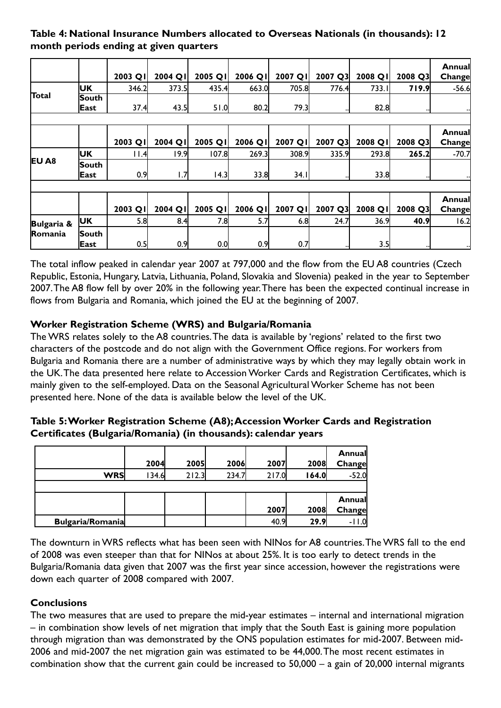## **Table 4: National Insurance Numbers allocated to Overseas Nationals (in thousands): 12 month periods ending at given quarters**

|                   |        | 2003 QI | 2004 QI | 2005 QI | 2006 QI | 2007 QI | 2007 Q3 | 2008 QI | 2008 Q3     | Annuall<br>Change |
|-------------------|--------|---------|---------|---------|---------|---------|---------|---------|-------------|-------------------|
|                   | UK     | 346.2   | 373.5   | 435.4   | 663.0   | 705.8   | 776.4   | 733.I   | 719.9       | $-56.6$           |
| Total             | South  |         |         |         |         |         |         |         |             |                   |
|                   | East   | 37.4    | 43.5    | 51.0    | 80.2    | 79.3    |         | 82.8    |             |                   |
|                   |        |         |         |         |         |         |         |         |             |                   |
|                   |        |         |         |         |         |         |         |         |             | Annual            |
|                   |        | 2003 QI | 2004 QI | 2005 QI | 2006 QI | 2007 QI | 2007 Q3 | 2008 QI | 2008 Q3     | Change            |
|                   | UK     | l I.41  | 19.9    | 107.8   | 269.3   | 308.9   | 335.9   | 293.8   | 265.2       | $-70.7$           |
| EU A <sub>8</sub> | South  |         |         |         |         |         |         |         |             |                   |
|                   | East   | 0.9     | 1.7     | 4.3     | 33.8    | 34.1    |         | 33.8    |             |                   |
|                   |        |         |         |         |         |         |         |         |             |                   |
|                   |        |         |         |         |         |         |         |         |             | Annual            |
|                   |        | 2003 QI | 2004 QI | 2005 QI | 2006 QI | 2007 QI | 2007 Q3 | 2008 QI | 2008 Q3     | Change            |
| Bulgaria &        | UK     | 5.8     | 8.4     | 7.8     | 5.7     | 6.8     | 24.7    | 36.9    | <b>40.9</b> | 16.2              |
| <b>Romania</b>    | lSouth |         |         |         |         |         |         |         |             |                   |
|                   | East   | 0.5     | 0.9     | 0.0     | 0.9     | 0.7     |         | 3.5     |             | ┅                 |

The total inflow peaked in calendar year 2007 at 797,000 and the flow from the EU A8 countries (Czech Republic, Estonia, Hungary, Latvia, Lithuania, Poland, Slovakia and Slovenia) peaked in the year to September 2007.The A8 flow fell by over 20% in the following year.There has been the expected continual increase in flows from Bulgaria and Romania, which joined the EU at the beginning of 2007.

# **Worker Registration Scheme (WRS) and Bulgaria/Romania**

The WRS relates solely to the A8 countries.The data is available by 'regions' related to the first two characters of the postcode and do not align with the Government Office regions. For workers from Bulgaria and Romania there are a number of administrative ways by which they may legally obtain work in the UK.The data presented here relate to Accession Worker Cards and Registration Certificates, which is mainly given to the self-employed. Data on the Seasonal Agricultural Worker Scheme has not been presented here. None of the data is available below the level of the UK.

| Table 5: Worker Registration Scheme (A8); Accession Worker Cards and Registration |
|-----------------------------------------------------------------------------------|
| Certificates (Bulgaria/Romania) (in thousands): calendar years                    |

|                         | 2004   | 2005  | 2006  | 2007  | 2008  | Annual<br>Change |
|-------------------------|--------|-------|-------|-------|-------|------------------|
| WRS                     | 134.61 | 212.3 | 234.7 | 217.0 | 164.0 | $-52.0$          |
|                         |        |       |       |       |       |                  |
|                         |        |       |       |       |       | Annual           |
|                         |        |       |       | 2007  | 2008  | Change           |
| <b>Bulgaria/Romania</b> |        |       |       | 40.9  | 29.9  | - 11             |

The downturn in WRS reflects what has been seen with NINos for A8 countries.The WRS fall to the end of 2008 was even steeper than that for NINos at about 25%. It is too early to detect trends in the Bulgaria/Romania data given that 2007 was the first year since accession, however the registrations were down each quarter of 2008 compared with 2007.

# **Conclusions**

The two measures that are used to prepare the mid-year estimates – internal and international migration – in combination show levels of net migration that imply that the South East is gaining more population through migration than was demonstrated by the ONS population estimates for mid-2007. Between mid-2006 and mid-2007 the net migration gain was estimated to be 44,000.The most recent estimates in combination show that the current gain could be increased to 50,000 – a gain of 20,000 internal migrants